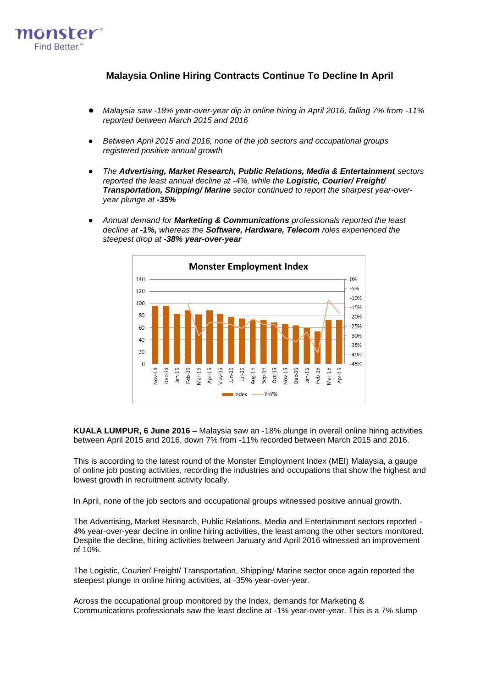

# **Malaysia Online Hiring Contracts Continue To Decline In April**

- *Malaysia saw -18% year-over-year dip in online hiring in April 2016, falling 7% from -11% reported between March 2015 and 2016*
- Between April 2015 and 2016, none of the job sectors and occupational groups *registered positive annual growth*
- *The Advertising, Market Research, Public Relations, Media & Entertainment sectors reported the least annual decline at -4%, while the Logistic, Courier/ Freight/ Transportation, Shipping/ Marine sector continued to report the sharpest year-overyear plunge at -35%*
- *Annual demand for Marketing & Communications professionals reported the least decline at -1%, whereas the Software, Hardware, Telecom roles experienced the steepest drop at -38% year-over-year*



**KUALA LUMPUR, 6 June 2016 –** Malaysia saw an -18% plunge in overall online hiring activities between April 2015 and 2016, down 7% from -11% recorded between March 2015 and 2016.

This is according to the latest round of the Monster Employment Index (MEI) Malaysia, a gauge of online job posting activities, recording the industries and occupations that show the highest and lowest growth in recruitment activity locally.

In April, none of the job sectors and occupational groups witnessed positive annual growth.

The Advertising, Market Research, Public Relations, Media and Entertainment sectors reported - 4% year-over-year decline in online hiring activities, the least among the other sectors monitored. Despite the decline, hiring activities between January and April 2016 witnessed an improvement of 10%.

The Logistic, Courier/ Freight/ Transportation, Shipping/ Marine sector once again reported the steepest plunge in online hiring activities, at -35% year-over-year.

Across the occupational group monitored by the Index, demands for Marketing & Communications professionals saw the least decline at -1% year-over-year. This is a 7% slump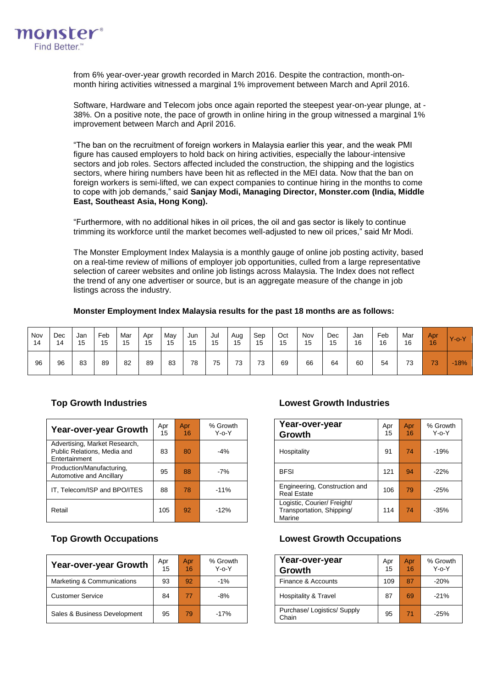

from 6% year-over-year growth recorded in March 2016. Despite the contraction, month-onmonth hiring activities witnessed a marginal 1% improvement between March and April 2016.

Software, Hardware and Telecom jobs once again reported the steepest year-on-year plunge, at - 38%. On a positive note, the pace of growth in online hiring in the group witnessed a marginal 1% improvement between March and April 2016.

"The ban on the recruitment of foreign workers in Malaysia earlier this year, and the weak PMI figure has caused employers to hold back on hiring activities, especially the labour-intensive sectors and job roles. Sectors affected included the construction, the shipping and the logistics sectors, where hiring numbers have been hit as reflected in the MEI data. Now that the ban on foreign workers is semi-lifted, we can expect companies to continue hiring in the months to come to cope with job demands," said **Sanjay Modi, Managing Director, Monster.com (India, Middle East, Southeast Asia, Hong Kong).**

"Furthermore, with no additional hikes in oil prices, the oil and gas sector is likely to continue trimming its workforce until the market becomes well-adjusted to new oil prices," said Mr Modi.

The [Monster Employment Index](http://www.about-monster.com/employment-index) Malaysia is a monthly gauge of online job posting activity, based on a real-time review of millions of employer job opportunities, culled from a large representative selection of career websites and online job listings across Malaysia. The Index does not reflect the trend of any one advertiser or source, but is an aggregate measure of the change in job listings across the industry.

## **Monster Employment Index Malaysia results for the past 18 months are as follows:**

| Nov | Dec | Jan | Feb | Mar | Apr | May | Jun | Jul | Aug | Sep | Oct | Nov | Dec | Jan | Feb | Mar | Apr | $Y$ -o- $Y$ |
|-----|-----|-----|-----|-----|-----|-----|-----|-----|-----|-----|-----|-----|-----|-----|-----|-----|-----|-------------|
| 14  | 14  | 15  | 15  | 15  | 15  | 15  | 15  | 15  | 15  | 15  | 15  | 15  | 15  | 16  | 16  | 16  | 16  |             |
| 96  | 96  | 83  | 89  | 82  | 89  | 83  | 78  | 75  | 73  | 73  | 69  | 66  | 64  | 60  | 54  | 73  | 73  | $-18%$      |

| Year-over-year Growth                                                         | Apr<br>15 | Apr<br>16 | % Growth<br>$Y_0Y$ | Year-over-year<br>Growth                                           | Apr<br>15 | Apr<br>16 | % Grov<br>$Y - 0 - Y$ |
|-------------------------------------------------------------------------------|-----------|-----------|--------------------|--------------------------------------------------------------------|-----------|-----------|-----------------------|
| Advertising, Market Research,<br>Public Relations, Media and<br>Entertainment | 83        | 80        | $-4%$              | Hospitality                                                        | 91        | 74        | $-19%$                |
| Production/Manufacturing,<br>Automotive and Ancillary                         | 95        | 88        | $-7%$              | <b>BFSI</b>                                                        | 121       | 94        | $-22%$                |
| IT, Telecom/ISP and BPO/ITES                                                  | 88        | 78        | $-11%$             | Engineering, Construction and<br><b>Real Estate</b>                | 106       | 79        | $-25%$                |
| Retail                                                                        | 105       | 92        | $-12%$             | Logistic, Courier/ Freight/<br>Transportation, Shipping/<br>Marine | 114       | 74        | $-35%$                |

| Year-over-year Growth        | Apr<br>15 | <b>Apr</b><br>16 | % Growth<br>$Y - 0 - Y$ | Year-over-year<br>Growth             | Apr<br>15 | Apr<br>16 | % Grov<br>$Y$ -0- $Y$ |
|------------------------------|-----------|------------------|-------------------------|--------------------------------------|-----------|-----------|-----------------------|
| Marketing & Communications   | 93        | 92               | $-1%$                   | Finance & Accounts                   | 109       | 87        | $-20%$                |
| <b>Customer Service</b>      | 84        | 77               | $-8%$                   | Hospitality & Travel                 | 87        | 69        | $-21%$                |
| Sales & Business Development | 95        | 79               | $-17%$                  | Purchase/ Logistics/ Supply<br>Chain | 95        | 71        | $-25%$                |

# **Top Growth Industries Lowest Growth Industries**

| \pr<br>15 | Apr<br>16 | % Growth<br>Y-o-Y | Year-over-year<br>Growth                                           | Apr<br>15 | Apr<br>16 | % Growth<br>$Y - 0 - Y$ |
|-----------|-----------|-------------------|--------------------------------------------------------------------|-----------|-----------|-------------------------|
| 83        | 80        | $-4%$             | Hospitality                                                        | 91        | 74        | $-19%$                  |
| 95        | 88        | -7%               | <b>BFSI</b>                                                        | 121       | 94        | $-22%$                  |
| 88        | 78        | $-11%$            | Engineering, Construction and<br><b>Real Estate</b>                | 106       | 79        | $-25%$                  |
| 105       | 92        | $-12%$            | Logistic, Courier/ Freight/<br>Transportation, Shipping/<br>Marine | 114       | 74        | $-35%$                  |

## **Top Growth Occupations Lowest Growth Occupations**

| Year-over-year<br>Growth             | Apr<br>15 | Apr<br>16 | % Growth<br>$Y - 0 - Y$ |
|--------------------------------------|-----------|-----------|-------------------------|
| Finance & Accounts                   | 109       | 87        | $-20%$                  |
| Hospitality & Travel                 | 87        | 69        | $-21%$                  |
| Purchase/ Logistics/ Supply<br>Chain | 95        | 71        | $-25%$                  |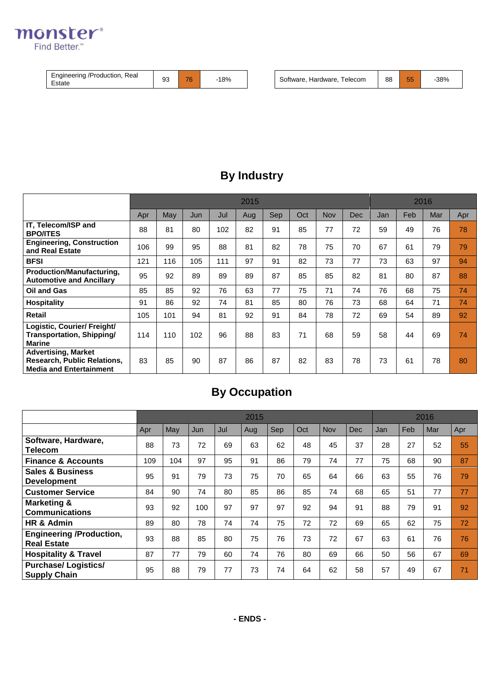

| Real<br>Engineering<br>: /Production.<br>Estate | $\sim$<br>ວບ | $\rightarrow$<br>,,, | 18% |  | ⊺elecom<br>software<br>Hardware | 88 | --<br>u | 38% |
|-------------------------------------------------|--------------|----------------------|-----|--|---------------------------------|----|---------|-----|
|-------------------------------------------------|--------------|----------------------|-----|--|---------------------------------|----|---------|-----|

# **By Industry**

|                                                                                                    |     |     |     | 2016 |     |     |     |            |            |     |     |     |     |
|----------------------------------------------------------------------------------------------------|-----|-----|-----|------|-----|-----|-----|------------|------------|-----|-----|-----|-----|
|                                                                                                    | Apr | May | Jun | Jul  | Aug | Sep | Oct | <b>Nov</b> | <b>Dec</b> | Jan | Feb | Mar | Apr |
| IT. Telecom/ISP and<br><b>BPO/ITES</b>                                                             | 88  | 81  | 80  | 102  | 82  | 91  | 85  | 77         | 72         | 59  | 49  | 76  | 78  |
| <b>Engineering, Construction</b><br>and Real Estate                                                | 106 | 99  | 95  | 88   | 81  | 82  | 78  | 75         | 70         | 67  | 61  | 79  | 79  |
| <b>BFSI</b>                                                                                        | 121 | 116 | 105 | 111  | 97  | 91  | 82  | 73         | 77         | 73  | 63  | 97  | 94  |
| Production/Manufacturing,<br><b>Automotive and Ancillary</b>                                       | 95  | 92  | 89  | 89   | 89  | 87  | 85  | 85         | 82         | 81  | 80  | 87  | 88  |
| Oil and Gas                                                                                        | 85  | 85  | 92  | 76   | 63  | 77  | 75  | 71         | 74         | 76  | 68  | 75  | 74  |
| <b>Hospitality</b>                                                                                 | 91  | 86  | 92  | 74   | 81  | 85  | 80  | 76         | 73         | 68  | 64  | 71  | 74  |
| <b>Retail</b>                                                                                      | 105 | 101 | 94  | 81   | 92  | 91  | 84  | 78         | 72         | 69  | 54  | 89  | 92  |
| Logistic, Courier/ Freight/<br>Transportation, Shipping/<br><b>Marine</b>                          | 114 | 110 | 102 | 96   | 88  | 83  | 71  | 68         | 59         | 58  | 44  | 69  | 74  |
| <b>Advertising, Market</b><br><b>Research, Public Relations,</b><br><b>Media and Entertainment</b> | 83  | 85  | 90  | 87   | 86  | 87  | 82  | 83         | 78         | 73  | 61  | 78  | 80  |

# **By Occupation**

|                                                       | 2015 |     |     |     |     |            |     |     |            |     | 2016 |     |     |  |
|-------------------------------------------------------|------|-----|-----|-----|-----|------------|-----|-----|------------|-----|------|-----|-----|--|
|                                                       | Apr  | May | Jun | Jul | Aug | <b>Sep</b> | Oct | Nov | <b>Dec</b> | Jan | Feb  | Mar | Apr |  |
| Software, Hardware,<br>Telecom                        | 88   | 73  | 72  | 69  | 63  | 62         | 48  | 45  | 37         | 28  | 27   | 52  | 55  |  |
| <b>Finance &amp; Accounts</b>                         | 109  | 104 | 97  | 95  | 91  | 86         | 79  | 74  | 77         | 75  | 68   | 90  | 87  |  |
| <b>Sales &amp; Business</b><br><b>Development</b>     | 95   | 91  | 79  | 73  | 75  | 70         | 65  | 64  | 66         | 63  | 55   | 76  | 79  |  |
| <b>Customer Service</b>                               | 84   | 90  | 74  | 80  | 85  | 86         | 85  | 74  | 68         | 65  | 51   | 77  | 77  |  |
| <b>Marketing &amp;</b><br><b>Communications</b>       | 93   | 92  | 100 | 97  | 97  | 97         | 92  | 94  | 91         | 88  | 79   | 91  | 92  |  |
| HR & Admin                                            | 89   | 80  | 78  | 74  | 74  | 75         | 72  | 72  | 69         | 65  | 62   | 75  | 72  |  |
| <b>Engineering /Production,</b><br><b>Real Estate</b> | 93   | 88  | 85  | 80  | 75  | 76         | 73  | 72  | 67         | 63  | 61   | 76  | 76  |  |
| <b>Hospitality &amp; Travel</b>                       | 87   | 77  | 79  | 60  | 74  | 76         | 80  | 69  | 66         | 50  | 56   | 67  | 69  |  |
| <b>Purchase/Logistics/</b><br><b>Supply Chain</b>     | 95   | 88  | 79  | 77  | 73  | 74         | 64  | 62  | 58         | 57  | 49   | 67  | 71  |  |